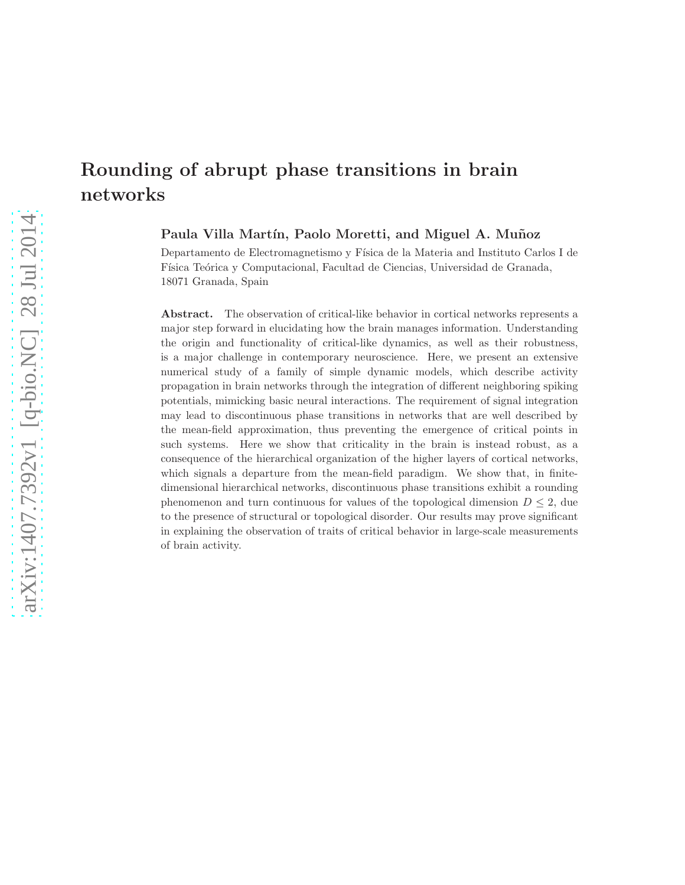# Rounding of abrupt phase transitions in brain networks

Paula Villa Martín, Paolo Moretti, and Miguel A. Muñoz

Departamento de Electromagnetismo y Física de la Materia and Instituto Carlos I de Física Teórica y Computacional, Facultad de Ciencias, Universidad de Granada, 18071 Granada, Spain

Abstract. The observation of critical-like behavior in cortical networks represents a major step forward in elucidating how the brain manages information. Understanding the origin and functionality of critical-like dynamics, as well as their robustness, is a major challenge in contemporary neuroscience. Here, we present an extensive numerical study of a family of simple dynamic models, which describe activity propagation in brain networks through the integration of different neighboring spiking potentials, mimicking basic neural interactions. The requirement of signal integration may lead to discontinuous phase transitions in networks that are well described by the mean-field approximation, thus preventing the emergence of critical points in such systems. Here we show that criticality in the brain is instead robust, as a consequence of the hierarchical organization of the higher layers of cortical networks, which signals a departure from the mean-field paradigm. We show that, in finitedimensional hierarchical networks, discontinuous phase transitions exhibit a rounding phenomenon and turn continuous for values of the topological dimension  $D \leq 2$ , due to the presence of structural or topological disorder. Our results may prove significant in explaining the observation of traits of critical behavior in large-scale measurements of brain activity.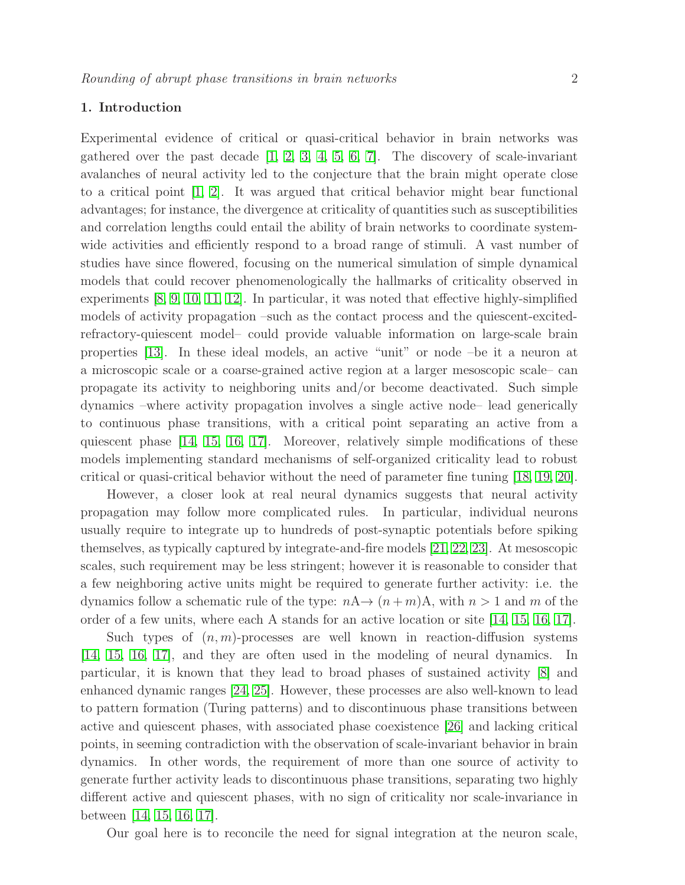# 1. Introduction

Experimental evidence of critical or quasi-critical behavior in brain networks was gathered over the past decade  $\begin{bmatrix} 1, & 2, & 3, & 4, & 5, & 6, & 7 \end{bmatrix}$  $\begin{bmatrix} 1, & 2, & 3, & 4, & 5, & 6, & 7 \end{bmatrix}$  $\begin{bmatrix} 1, & 2, & 3, & 4, & 5, & 6, & 7 \end{bmatrix}$  $\begin{bmatrix} 1, & 2, & 3, & 4, & 5, & 6, & 7 \end{bmatrix}$  $\begin{bmatrix} 1, & 2, & 3, & 4, & 5, & 6, & 7 \end{bmatrix}$  $\begin{bmatrix} 1, & 2, & 3, & 4, & 5, & 6, & 7 \end{bmatrix}$  $\begin{bmatrix} 1, & 2, & 3, & 4, & 5, & 6, & 7 \end{bmatrix}$  $\begin{bmatrix} 1, & 2, & 3, & 4, & 5, & 6, & 7 \end{bmatrix}$  $\begin{bmatrix} 1, & 2, & 3, & 4, & 5, & 6, & 7 \end{bmatrix}$  $\begin{bmatrix} 1, & 2, & 3, & 4, & 5, & 6, & 7 \end{bmatrix}$  $\begin{bmatrix} 1, & 2, & 3, & 4, & 5, & 6, & 7 \end{bmatrix}$ . The discovery of scale-invariant avalanches of neural activity led to the conjecture that the brain might operate close to a critical point [\[1,](#page-8-0) [2\]](#page-8-1). It was argued that critical behavior might bear functional advantages; for instance, the divergence at criticality of quantities such as susceptibilities and correlation lengths could entail the ability of brain networks to coordinate systemwide activities and efficiently respond to a broad range of stimuli. A vast number of studies have since flowered, focusing on the numerical simulation of simple dynamical models that could recover phenomenologically the hallmarks of criticality observed in experiments [\[8,](#page-8-7) [9,](#page-8-8) [10,](#page-8-9) [11,](#page-8-10) [12\]](#page-8-11). In particular, it was noted that effective highly-simplified models of activity propagation –such as the contact process and the quiescent-excitedrefractory-quiescent model– could provide valuable information on large-scale brain properties [\[13\]](#page-8-12). In these ideal models, an active "unit" or node –be it a neuron at a microscopic scale or a coarse-grained active region at a larger mesoscopic scale– can propagate its activity to neighboring units and/or become deactivated. Such simple dynamics –where activity propagation involves a single active node– lead generically to continuous phase transitions, with a critical point separating an active from a quiescent phase [\[14,](#page-8-13) [15,](#page-8-14) [16,](#page-8-15) [17\]](#page-8-16). Moreover, relatively simple modifications of these models implementing standard mechanisms of self-organized criticality lead to robust critical or quasi-critical behavior without the need of parameter fine tuning [\[18,](#page-8-17) [19,](#page-8-18) [20\]](#page-8-19).

However, a closer look at real neural dynamics suggests that neural activity propagation may follow more complicated rules. In particular, individual neurons usually require to integrate up to hundreds of post-synaptic potentials before spiking themselves, as typically captured by integrate-and-fire models [\[21,](#page-8-20) [22,](#page-8-21) [23\]](#page-8-22). At mesoscopic scales, such requirement may be less stringent; however it is reasonable to consider that a few neighboring active units might be required to generate further activity: i.e. the dynamics follow a schematic rule of the type:  $nA \rightarrow (n+m)A$ , with  $n > 1$  and m of the order of a few units, where each A stands for an active location or site [\[14,](#page-8-13) [15,](#page-8-14) [16,](#page-8-15) [17\]](#page-8-16).

Such types of  $(n, m)$ -processes are well known in reaction-diffusion systems [\[14,](#page-8-13) [15,](#page-8-14) [16,](#page-8-15) [17\]](#page-8-16), and they are often used in the modeling of neural dynamics. In particular, it is known that they lead to broad phases of sustained activity [\[8\]](#page-8-7) and enhanced dynamic ranges [\[24,](#page-8-23) [25\]](#page-8-24). However, these processes are also well-known to lead to pattern formation (Turing patterns) and to discontinuous phase transitions between active and quiescent phases, with associated phase coexistence [\[26\]](#page-9-0) and lacking critical points, in seeming contradiction with the observation of scale-invariant behavior in brain dynamics. In other words, the requirement of more than one source of activity to generate further activity leads to discontinuous phase transitions, separating two highly different active and quiescent phases, with no sign of criticality nor scale-invariance in between [\[14,](#page-8-13) [15,](#page-8-14) [16,](#page-8-15) [17\]](#page-8-16).

Our goal here is to reconcile the need for signal integration at the neuron scale,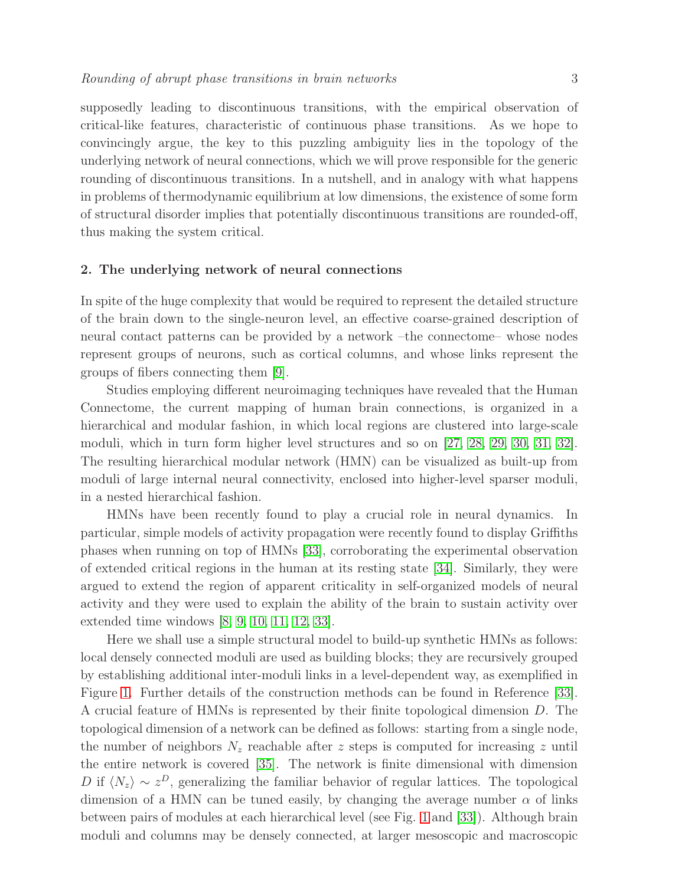supposedly leading to discontinuous transitions, with the empirical observation of critical-like features, characteristic of continuous phase transitions. As we hope to convincingly argue, the key to this puzzling ambiguity lies in the topology of the underlying network of neural connections, which we will prove responsible for the generic rounding of discontinuous transitions. In a nutshell, and in analogy with what happens in problems of thermodynamic equilibrium at low dimensions, the existence of some form of structural disorder implies that potentially discontinuous transitions are rounded-off, thus making the system critical.

## 2. The underlying network of neural connections

In spite of the huge complexity that would be required to represent the detailed structure of the brain down to the single-neuron level, an effective coarse-grained description of neural contact patterns can be provided by a network –the connectome– whose nodes represent groups of neurons, such as cortical columns, and whose links represent the groups of fibers connecting them [\[9\]](#page-8-8).

Studies employing different neuroimaging techniques have revealed that the Human Connectome, the current mapping of human brain connections, is organized in a hierarchical and modular fashion, in which local regions are clustered into large-scale moduli, which in turn form higher level structures and so on [\[27,](#page-9-1) [28,](#page-9-2) [29,](#page-9-3) [30,](#page-9-4) [31,](#page-9-5) [32\]](#page-9-6). The resulting hierarchical modular network (HMN) can be visualized as built-up from moduli of large internal neural connectivity, enclosed into higher-level sparser moduli, in a nested hierarchical fashion.

HMNs have been recently found to play a crucial role in neural dynamics. In particular, simple models of activity propagation were recently found to display Griffiths phases when running on top of HMNs [\[33\]](#page-9-7), corroborating the experimental observation of extended critical regions in the human at its resting state [\[34\]](#page-9-8). Similarly, they were argued to extend the region of apparent criticality in self-organized models of neural activity and they were used to explain the ability of the brain to sustain activity over extended time windows [\[8,](#page-8-7) [9,](#page-8-8) [10,](#page-8-9) [11,](#page-8-10) [12,](#page-8-11) [33\]](#page-9-7).

Here we shall use a simple structural model to build-up synthetic HMNs as follows: local densely connected moduli are used as building blocks; they are recursively grouped by establishing additional inter-moduli links in a level-dependent way, as exemplified in Figure [1.](#page-3-0) Further details of the construction methods can be found in Reference [\[33\]](#page-9-7). A crucial feature of HMNs is represented by their finite topological dimension D. The topological dimension of a network can be defined as follows: starting from a single node, the number of neighbors  $N_z$  reachable after z steps is computed for increasing z until the entire network is covered [\[35\]](#page-9-9). The network is finite dimensional with dimension D if  $\langle N_z \rangle \sim z^D$ , generalizing the familiar behavior of regular lattices. The topological dimension of a HMN can be tuned easily, by changing the average number  $\alpha$  of links between pairs of modules at each hierarchical level (see Fig. [1](#page-3-0) and [\[33\]](#page-9-7)). Although brain moduli and columns may be densely connected, at larger mesoscopic and macroscopic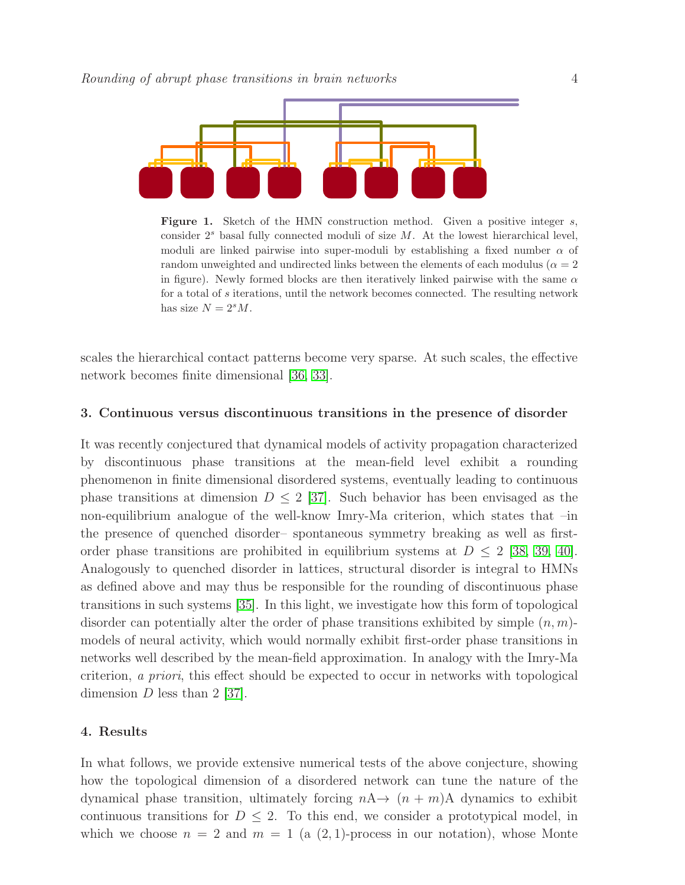

<span id="page-3-0"></span>**Figure 1.** Sketch of the HMN construction method. Given a positive integer  $s$ , consider  $2<sup>s</sup>$  basal fully connected moduli of size M. At the lowest hierarchical level, moduli are linked pairwise into super-moduli by establishing a fixed number  $\alpha$  of random unweighted and undirected links between the elements of each modulus ( $\alpha = 2$ ) in figure). Newly formed blocks are then iteratively linked pairwise with the same  $\alpha$ for a total of s iterations, until the network becomes connected. The resulting network has size  $N = 2<sup>s</sup>M$ .

scales the hierarchical contact patterns become very sparse. At such scales, the effective network becomes finite dimensional [\[36,](#page-9-10) [33\]](#page-9-7).

#### 3. Continuous versus discontinuous transitions in the presence of disorder

It was recently conjectured that dynamical models of activity propagation characterized by discontinuous phase transitions at the mean-field level exhibit a rounding phenomenon in finite dimensional disordered systems, eventually leading to continuous phase transitions at dimension  $D \leq 2$  [\[37\]](#page-9-11). Such behavior has been envisaged as the non-equilibrium analogue of the well-know Imry-Ma criterion, which states that –in the presence of quenched disorder– spontaneous symmetry breaking as well as firstorder phase transitions are prohibited in equilibrium systems at  $D \leq 2$  [\[38,](#page-9-12) [39,](#page-9-13) [40\]](#page-9-14). Analogously to quenched disorder in lattices, structural disorder is integral to HMNs as defined above and may thus be responsible for the rounding of discontinuous phase transitions in such systems [\[35\]](#page-9-9). In this light, we investigate how this form of topological disorder can potentially alter the order of phase transitions exhibited by simple  $(n, m)$ models of neural activity, which would normally exhibit first-order phase transitions in networks well described by the mean-field approximation. In analogy with the Imry-Ma criterion, a priori, this effect should be expected to occur in networks with topological dimension  $D$  less than 2 [\[37\]](#page-9-11).

#### 4. Results

In what follows, we provide extensive numerical tests of the above conjecture, showing how the topological dimension of a disordered network can tune the nature of the dynamical phase transition, ultimately forcing  $nA \rightarrow (n + m)A$  dynamics to exhibit continuous transitions for  $D \leq 2$ . To this end, we consider a prototypical model, in which we choose  $n = 2$  and  $m = 1$  (a  $(2, 1)$ -process in our notation), whose Monte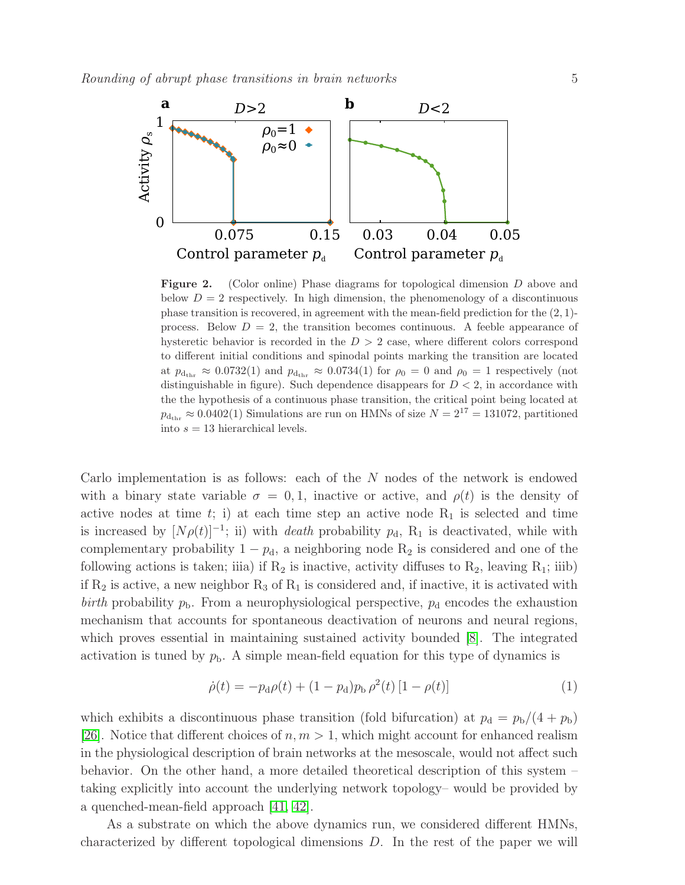

<span id="page-4-0"></span>Figure 2. (Color online) Phase diagrams for topological dimension D above and below  $D = 2$  respectively. In high dimension, the phenomenology of a discontinuous phase transition is recovered, in agreement with the mean-field prediction for the  $(2, 1)$ process. Below  $D = 2$ , the transition becomes continuous. A feeble appearance of hysteretic behavior is recorded in the  $D > 2$  case, where different colors correspond to different initial conditions and spinodal points marking the transition are located at  $p_{\text{d}_{\text{thr}}} \approx 0.0732(1)$  and  $p_{\text{d}_{\text{thr}}} \approx 0.0734(1)$  for  $\rho_0 = 0$  and  $\rho_0 = 1$  respectively (not distinguishable in figure). Such dependence disappears for  $D < 2$ , in accordance with the the hypothesis of a continuous phase transition, the critical point being located at  $p_{\text{d}_{\text{thr}}} \approx 0.0402(1)$  Simulations are run on HMNs of size  $N = 2^{17} = 131072$ , partitioned into  $s = 13$  hierarchical levels.

Carlo implementation is as follows: each of the N nodes of the network is endowed with a binary state variable  $\sigma = 0, 1$ , inactive or active, and  $\rho(t)$  is the density of active nodes at time  $t$ ; i) at each time step an active node  $R_1$  is selected and time is increased by  $[N\rho(t)]^{-1}$ ; ii) with *death* probability  $p_d$ , R<sub>1</sub> is deactivated, while with complementary probability  $1 - p_d$ , a neighboring node  $R_2$  is considered and one of the following actions is taken; iiia) if  $R_2$  is inactive, activity diffuses to  $R_2$ , leaving  $R_1$ ; iiib) if  $R_2$  is active, a new neighbor  $R_3$  of  $R_1$  is considered and, if inactive, it is activated with birth probability  $p_{\rm b}$ . From a neurophysiological perspective,  $p_{\rm d}$  encodes the exhaustion mechanism that accounts for spontaneous deactivation of neurons and neural regions, which proves essential in maintaining sustained activity bounded [\[8\]](#page-8-7). The integrated activation is tuned by  $p<sub>b</sub>$ . A simple mean-field equation for this type of dynamics is

$$
\dot{\rho}(t) = -p_{\rm d}\rho(t) + (1 - p_{\rm d})p_{\rm b}\,\rho^2(t)\,[1 - \rho(t)]\tag{1}
$$

which exhibits a discontinuous phase transition (fold bifurcation) at  $p_d = p_b/(4 + p_b)$ [\[26\]](#page-9-0). Notice that different choices of  $n, m > 1$ , which might account for enhanced realism in the physiological description of brain networks at the mesoscale, would not affect such behavior. On the other hand, a more detailed theoretical description of this system – taking explicitly into account the underlying network topology– would be provided by a quenched-mean-field approach [\[41,](#page-9-15) [42\]](#page-9-16).

As a substrate on which the above dynamics run, we considered different HMNs, characterized by different topological dimensions D. In the rest of the paper we will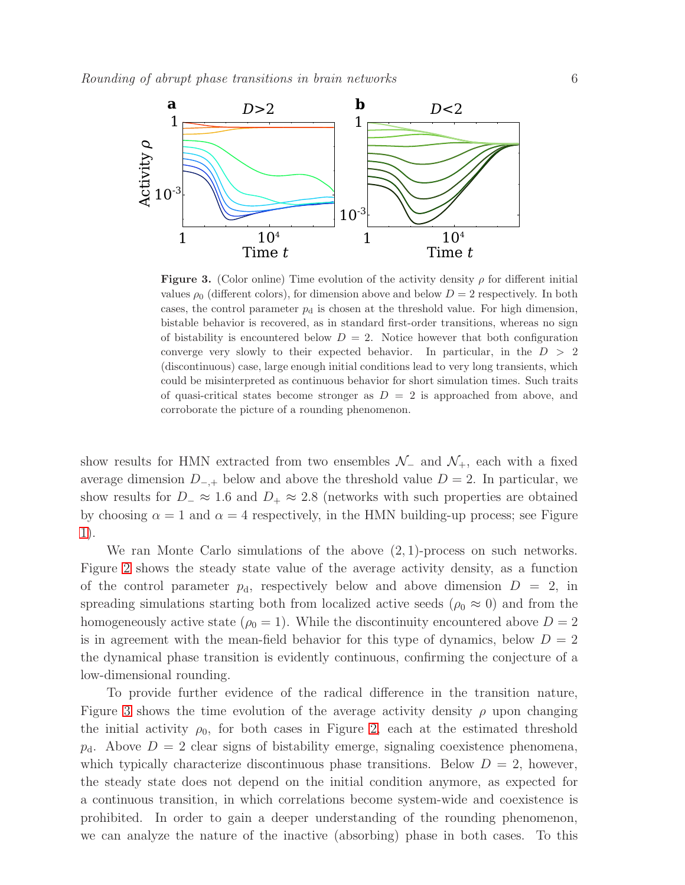

<span id="page-5-0"></span>**Figure 3.** (Color online) Time evolution of the activity density  $\rho$  for different initial values  $\rho_0$  (different colors), for dimension above and below  $D = 2$  respectively. In both cases, the control parameter  $p_d$  is chosen at the threshold value. For high dimension, bistable behavior is recovered, as in standard first-order transitions, whereas no sign of bistability is encountered below  $D = 2$ . Notice however that both configuration converge very slowly to their expected behavior. In particular, in the  $D > 2$ (discontinuous) case, large enough initial conditions lead to very long transients, which could be misinterpreted as continuous behavior for short simulation times. Such traits of quasi-critical states become stronger as  $D = 2$  is approached from above, and corroborate the picture of a rounding phenomenon.

show results for HMN extracted from two ensembles  $\mathcal{N}_-$  and  $\mathcal{N}_+$ , each with a fixed average dimension  $D_{-,+}$  below and above the threshold value  $D = 2$ . In particular, we show results for  $D_-\approx 1.6$  and  $D_+\approx 2.8$  (networks with such properties are obtained by choosing  $\alpha = 1$  and  $\alpha = 4$  respectively, in the HMN building-up process; see Figure [1\)](#page-3-0).

We ran Monte Carlo simulations of the above  $(2, 1)$ -process on such networks. Figure [2](#page-4-0) shows the steady state value of the average activity density, as a function of the control parameter  $p_d$ , respectively below and above dimension  $D = 2$ , in spreading simulations starting both from localized active seeds ( $\rho_0 \approx 0$ ) and from the homogeneously active state ( $\rho_0 = 1$ ). While the discontinuity encountered above  $D = 2$ is in agreement with the mean-field behavior for this type of dynamics, below  $D = 2$ the dynamical phase transition is evidently continuous, confirming the conjecture of a low-dimensional rounding.

To provide further evidence of the radical difference in the transition nature, Figure [3](#page-5-0) shows the time evolution of the average activity density  $\rho$  upon changing the initial activity  $\rho_0$ , for both cases in Figure [2,](#page-4-0) each at the estimated threshold  $p_d$ . Above  $D = 2$  clear signs of bistability emerge, signaling coexistence phenomena, which typically characterize discontinuous phase transitions. Below  $D = 2$ , however, the steady state does not depend on the initial condition anymore, as expected for a continuous transition, in which correlations become system-wide and coexistence is prohibited. In order to gain a deeper understanding of the rounding phenomenon, we can analyze the nature of the inactive (absorbing) phase in both cases. To this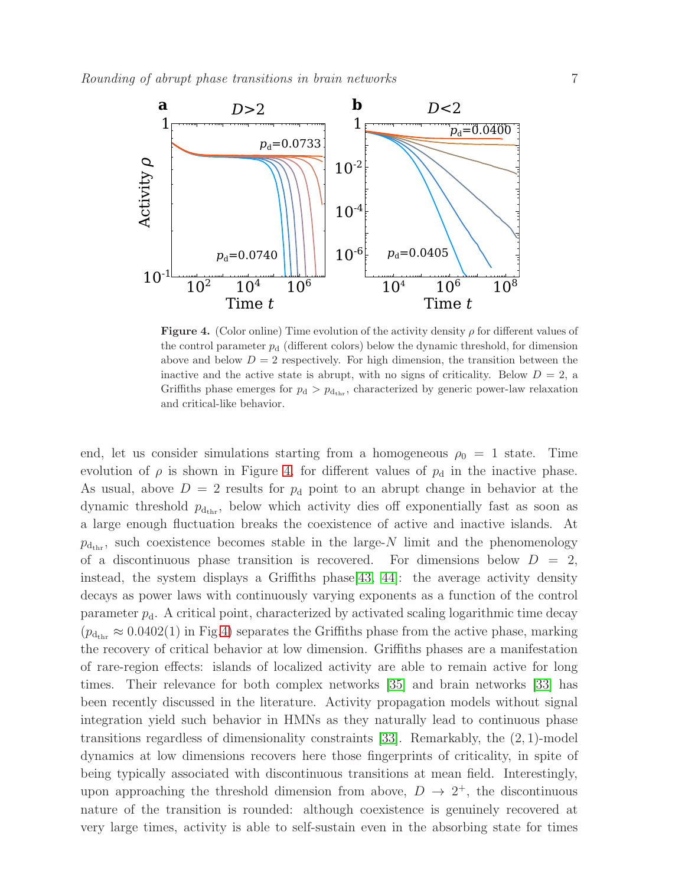

<span id="page-6-0"></span>**Figure 4.** (Color online) Time evolution of the activity density  $\rho$  for different values of the control parameter  $p_d$  (different colors) below the dynamic threshold, for dimension above and below  $D = 2$  respectively. For high dimension, the transition between the inactive and the active state is abrupt, with no signs of criticality. Below  $D = 2$ , a Griffiths phase emerges for  $p_d > p_{d_{\text{thr}}}$ , characterized by generic power-law relaxation and critical-like behavior.

end, let us consider simulations starting from a homogeneous  $\rho_0 = 1$  state. Time evolution of  $\rho$  is shown in Figure [4,](#page-6-0) for different values of  $p_d$  in the inactive phase. As usual, above  $D = 2$  results for  $p_d$  point to an abrupt change in behavior at the dynamic threshold  $p_{\text{d}_{\text{thr}}}$ , below which activity dies off exponentially fast as soon as a large enough fluctuation breaks the coexistence of active and inactive islands. At  $p_{d_{\text{thr}}}$ , such coexistence becomes stable in the large-N limit and the phenomenology of a discontinuous phase transition is recovered. For dimensions below  $D = 2$ , instead, the system displays a Griffiths phase  $[43, 44]$  $[43, 44]$ : the average activity density decays as power laws with continuously varying exponents as a function of the control parameter  $p_d$ . A critical point, characterized by activated scaling logarithmic time decay  $(p_{d_{\text{thr}}} \approx 0.0402(1)$  in Fig[.4\)](#page-6-0) separates the Griffiths phase from the active phase, marking the recovery of critical behavior at low dimension. Griffiths phases are a manifestation of rare-region effects: islands of localized activity are able to remain active for long times. Their relevance for both complex networks [\[35\]](#page-9-9) and brain networks [\[33\]](#page-9-7) has been recently discussed in the literature. Activity propagation models without signal integration yield such behavior in HMNs as they naturally lead to continuous phase transitions regardless of dimensionality constraints [\[33\]](#page-9-7). Remarkably, the (2, 1)-model dynamics at low dimensions recovers here those fingerprints of criticality, in spite of being typically associated with discontinuous transitions at mean field. Interestingly, upon approaching the threshold dimension from above,  $D \rightarrow 2^+$ , the discontinuous nature of the transition is rounded: although coexistence is genuinely recovered at very large times, activity is able to self-sustain even in the absorbing state for times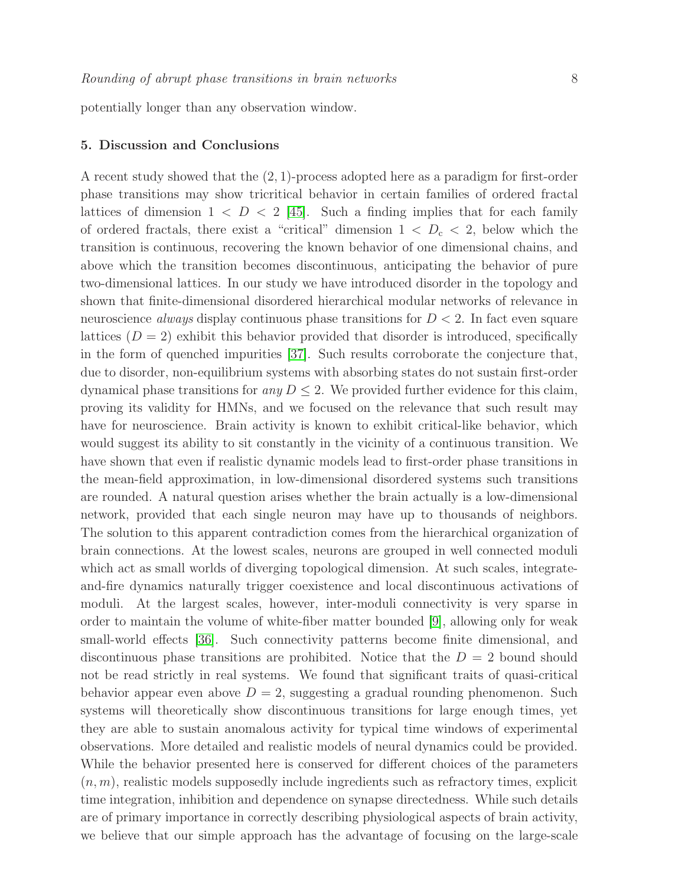potentially longer than any observation window.

#### 5. Discussion and Conclusions

A recent study showed that the (2, 1)-process adopted here as a paradigm for first-order phase transitions may show tricritical behavior in certain families of ordered fractal lattices of dimension  $1 < D < 2$  [\[45\]](#page-9-19). Such a finding implies that for each family of ordered fractals, there exist a "critical" dimension  $1 < D<sub>c</sub> < 2$ , below which the transition is continuous, recovering the known behavior of one dimensional chains, and above which the transition becomes discontinuous, anticipating the behavior of pure two-dimensional lattices. In our study we have introduced disorder in the topology and shown that finite-dimensional disordered hierarchical modular networks of relevance in neuroscience *always* display continuous phase transitions for  $D < 2$ . In fact even square lattices  $(D = 2)$  exhibit this behavior provided that disorder is introduced, specifically in the form of quenched impurities [\[37\]](#page-9-11). Such results corroborate the conjecture that, due to disorder, non-equilibrium systems with absorbing states do not sustain first-order dynamical phase transitions for any  $D \leq 2$ . We provided further evidence for this claim, proving its validity for HMNs, and we focused on the relevance that such result may have for neuroscience. Brain activity is known to exhibit critical-like behavior, which would suggest its ability to sit constantly in the vicinity of a continuous transition. We have shown that even if realistic dynamic models lead to first-order phase transitions in the mean-field approximation, in low-dimensional disordered systems such transitions are rounded. A natural question arises whether the brain actually is a low-dimensional network, provided that each single neuron may have up to thousands of neighbors. The solution to this apparent contradiction comes from the hierarchical organization of brain connections. At the lowest scales, neurons are grouped in well connected moduli which act as small worlds of diverging topological dimension. At such scales, integrateand-fire dynamics naturally trigger coexistence and local discontinuous activations of moduli. At the largest scales, however, inter-moduli connectivity is very sparse in order to maintain the volume of white-fiber matter bounded [\[9\]](#page-8-8), allowing only for weak small-world effects [\[36\]](#page-9-10). Such connectivity patterns become finite dimensional, and discontinuous phase transitions are prohibited. Notice that the  $D = 2$  bound should not be read strictly in real systems. We found that significant traits of quasi-critical behavior appear even above  $D = 2$ , suggesting a gradual rounding phenomenon. Such systems will theoretically show discontinuous transitions for large enough times, yet they are able to sustain anomalous activity for typical time windows of experimental observations. More detailed and realistic models of neural dynamics could be provided. While the behavior presented here is conserved for different choices of the parameters  $(n, m)$ , realistic models supposedly include ingredients such as refractory times, explicit time integration, inhibition and dependence on synapse directedness. While such details are of primary importance in correctly describing physiological aspects of brain activity, we believe that our simple approach has the advantage of focusing on the large-scale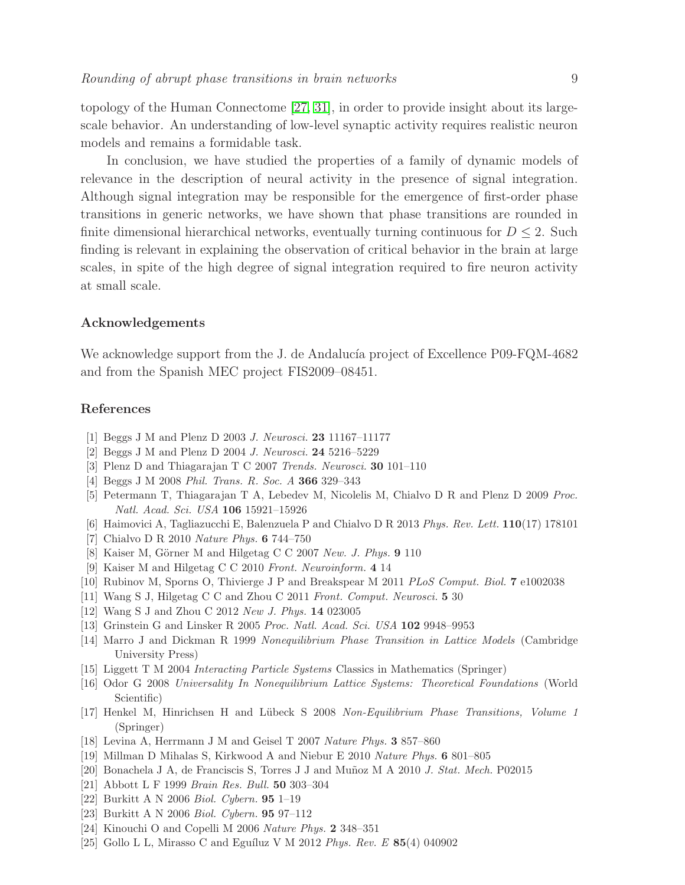topology of the Human Connectome [\[27,](#page-9-1) [31\]](#page-9-5), in order to provide insight about its largescale behavior. An understanding of low-level synaptic activity requires realistic neuron models and remains a formidable task.

In conclusion, we have studied the properties of a family of dynamic models of relevance in the description of neural activity in the presence of signal integration. Although signal integration may be responsible for the emergence of first-order phase transitions in generic networks, we have shown that phase transitions are rounded in finite dimensional hierarchical networks, eventually turning continuous for  $D \leq 2$ . Such finding is relevant in explaining the observation of critical behavior in the brain at large scales, in spite of the high degree of signal integration required to fire neuron activity at small scale.

## Acknowledgements

We acknowledge support from the J. de Andalucía project of Excellence P09-FQM-4682 and from the Spanish MEC project FIS2009–08451.

#### <span id="page-8-0"></span>References

- <span id="page-8-1"></span>[1] Beggs J M and Plenz D 2003 *J. Neurosci.* 23 11167–11177
- <span id="page-8-2"></span>[2] Beggs J M and Plenz D 2004 *J. Neurosci.* 24 5216–5229
- <span id="page-8-3"></span>[3] Plenz D and Thiagarajan T C 2007 *Trends. Neurosci.* 30 101–110
- <span id="page-8-4"></span>[4] Beggs J M 2008 *Phil. Trans. R. Soc. A* 366 329–343
- <span id="page-8-5"></span>[5] Petermann T, Thiagarajan T A, Lebedev M, Nicolelis M, Chialvo D R and Plenz D 2009 *Proc. Natl. Acad. Sci. USA* 106 15921–15926
- <span id="page-8-6"></span>[6] Haimovici A, Tagliazucchi E, Balenzuela P and Chialvo D R 2013 *Phys. Rev. Lett.* 110(17) 178101
- <span id="page-8-7"></span>[7] Chialvo D R 2010 *Nature Phys.* 6 744–750
- <span id="page-8-8"></span>[8] Kaiser M, Görner M and Hilgetag C C 2007 *New. J. Phys.* 9 110
- <span id="page-8-9"></span>[9] Kaiser M and Hilgetag C C 2010 *Front. Neuroinform.* 4 14
- <span id="page-8-10"></span>[10] Rubinov M, Sporns O, Thivierge J P and Breakspear M 2011 *PLoS Comput. Biol.* 7 e1002038
- <span id="page-8-11"></span>[11] Wang S J, Hilgetag C C and Zhou C 2011 *Front. Comput. Neurosci.* 5 30
- <span id="page-8-12"></span>[12] Wang S J and Zhou C 2012 *New J. Phys.* 14 023005
- <span id="page-8-13"></span>[13] Grinstein G and Linsker R 2005 *Proc. Natl. Acad. Sci. USA* 102 9948–9953
- [14] Marro J and Dickman R 1999 *Nonequilibrium Phase Transition in Lattice Models* (Cambridge University Press)
- <span id="page-8-15"></span><span id="page-8-14"></span>[15] Liggett T M 2004 *Interacting Particle Systems* Classics in Mathematics (Springer)
- [16] Odor G 2008 *Universality In Nonequilibrium Lattice Systems: Theoretical Foundations* (World Scientific)
- <span id="page-8-16"></span>[17] Henkel M, Hinrichsen H and L¨ubeck S 2008 *Non-Equilibrium Phase Transitions, Volume 1* (Springer)
- <span id="page-8-18"></span><span id="page-8-17"></span>[18] Levina A, Herrmann J M and Geisel T 2007 *Nature Phys.* 3 857–860
- <span id="page-8-19"></span>[19] Millman D Mihalas S, Kirkwood A and Niebur E 2010 *Nature Phys.* 6 801–805
- <span id="page-8-20"></span>[20] Bonachela J A, de Franciscis S, Torres J J and Mu˜noz M A 2010 *J. Stat. Mech.* P02015
- <span id="page-8-21"></span>[21] Abbott L F 1999 *Brain Res. Bull.* 50 303–304
- <span id="page-8-22"></span>[22] Burkitt A N 2006 *Biol. Cybern.* 95 1–19
- <span id="page-8-23"></span>[23] Burkitt A N 2006 *Biol. Cybern.* 95 97–112
- <span id="page-8-24"></span>[24] Kinouchi O and Copelli M 2006 *Nature Phys.* 2 348–351
- [25] Gollo L L, Mirasso C and Eguíluz V M 2012 *Phys. Rev. E* **85**(4) 040902